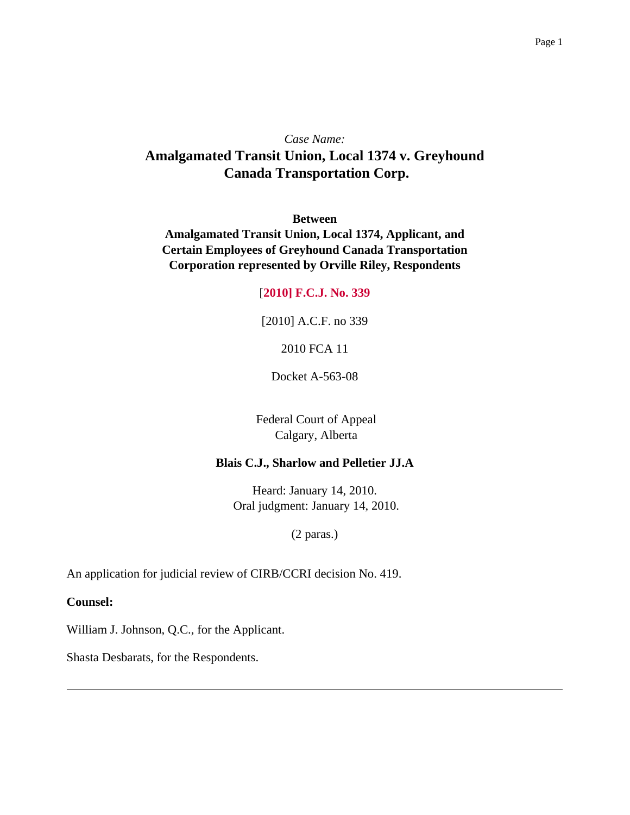## *Case Name:* **Amalgamated Transit Union, Local 1374 v. Greyhound Canada Transportation Corp.**

**Between**

**Amalgamated Transit Union, Local 1374, Applicant, and Certain Employees of Greyhound Canada Transportation Corporation represented by Orville Riley, Respondents**

## [**2010] F.C.J. No. 339**

[2010] A.C.F. no 339

2010 FCA 11

Docket A-563-08

Federal Court of Appeal Calgary, Alberta

## **Blais C.J., Sharlow and Pelletier JJ.A**

Heard: January 14, 2010. Oral judgment: January 14, 2010.

(2 paras.)

An application for judicial review of CIRB/CCRI decision No. 419.

**Counsel:**

William J. Johnson, Q.C., for the Applicant.

Shasta Desbarats, for the Respondents.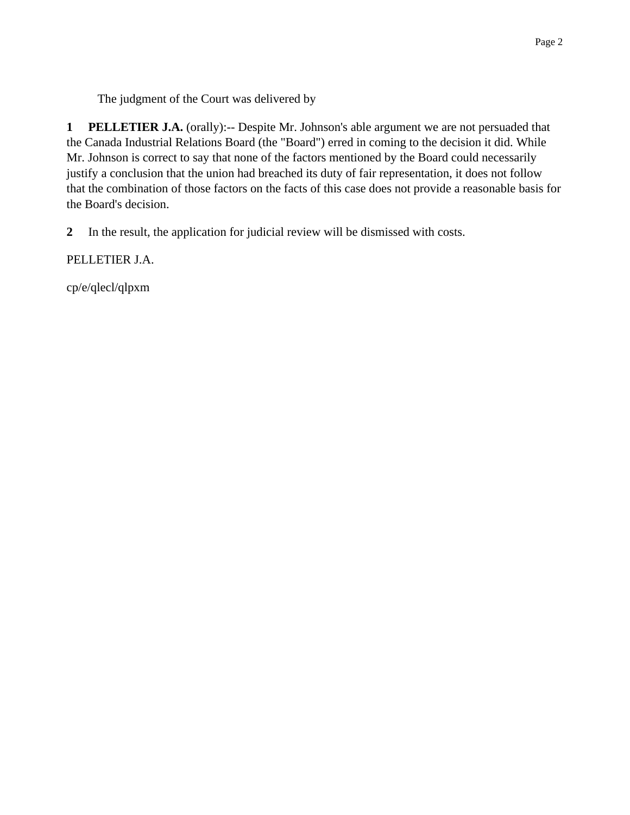The judgment of the Court was delivered by

**1 PELLETIER J.A.** (orally):-- Despite Mr. Johnson's able argument we are not persuaded that the Canada Industrial Relations Board (the "Board") erred in coming to the decision it did. While Mr. Johnson is correct to say that none of the factors mentioned by the Board could necessarily justify a conclusion that the union had breached its duty of fair representation, it does not follow that the combination of those factors on the facts of this case does not provide a reasonable basis for the Board's decision.

**2** In the result, the application for judicial review will be dismissed with costs.

PELLETIER J.A.

cp/e/qlecl/qlpxm